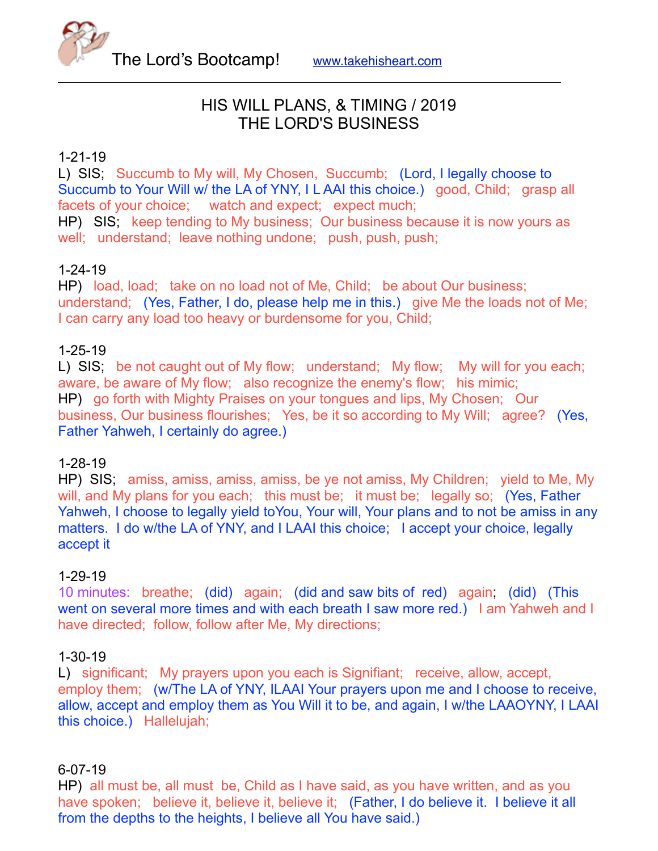

# HIS WILL PLANS, & TIMING / 2019 THE LORD'S BUSINESS

# 1-21-19

L) SIS; Succumb to My will, My Chosen, Succumb; (Lord, I legally choose to Succumb to Your Will w/ the LA of YNY, I L AAI this choice.) good, Child; grasp all facets of your choice; watch and expect; expect much; HP) SIS; keep tending to My business; Our business because it is now yours as

well; understand; leave nothing undone; push, push, push;

# 1-24-19

HP) load, load; take on no load not of Me, Child; be about Our business; understand; (Yes, Father, I do, please help me in this.) give Me the loads not of Me; I can carry any load too heavy or burdensome for you, Child;

# 1-25-19

L) SIS; be not caught out of My flow; understand; My flow; My will for you each; aware, be aware of My flow; also recognize the enemy's flow; his mimic; HP) go forth with Mighty Praises on your tongues and lips, My Chosen; Our business, Our business flourishes; Yes, be it so according to My Will; agree? (Yes, Father Yahweh, I certainly do agree.)

## 1-28-19

HP) SIS; amiss, amiss, amiss, amiss, be ye not amiss, My Children; yield to Me, My will, and My plans for you each; this must be; it must be; legally so; (Yes, Father Yahweh, I choose to legally yield toYou, Your will, Your plans and to not be amiss in any matters. I do w/the LA of YNY, and I LAAI this choice; I accept your choice, legally accept it

## 1-29-19

10 minutes: breathe; (did) again; (did and saw bits of red) again; (did) (This went on several more times and with each breath I saw more red.) I am Yahweh and I have directed; follow, follow after Me, My directions;

#### 1-30-19

L) significant; My prayers upon you each is Signifiant; receive, allow, accept, employ them; (w/The LA of YNY, ILAAI Your prayers upon me and I choose to receive, allow, accept and employ them as You Will it to be, and again, I w/the LAAOYNY, I LAAI this choice.) Hallelujah;

## 6-07-19

HP) all must be, all must be, Child as I have said, as you have written, and as you have spoken; believe it, believe it, believe it; (Father, I do believe it. I believe it all from the depths to the heights, I believe all You have said.)